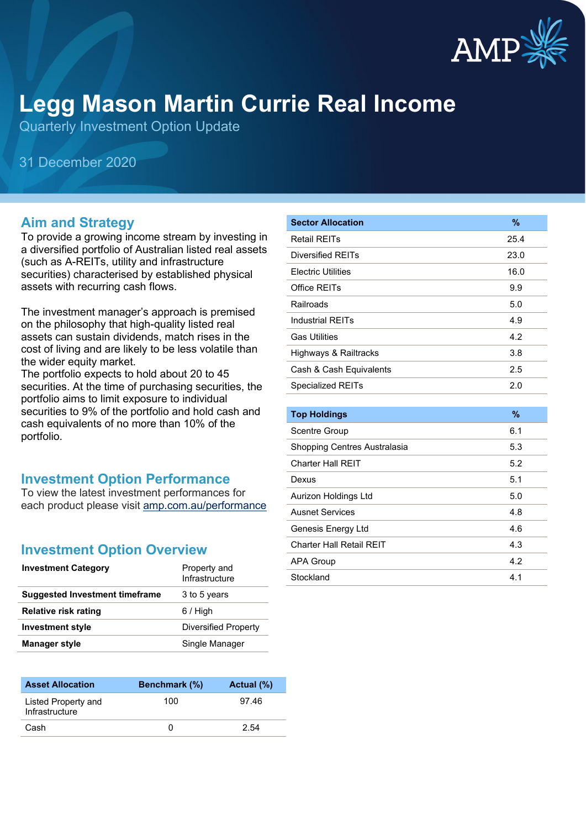

# **Legg Mason Martin Currie Real Income**

Quarterly Investment Option Update

31 December 2020

#### **Aim and Strategy**

To provide a growing income stream by investing in a diversified portfolio of Australian listed real assets (such as A-REITs, utility and infrastructure securities) characterised by established physical assets with recurring cash flows.

The investment manager's approach is premised on the philosophy that high-quality listed real assets can sustain dividends, match rises in the cost of living and are likely to be less volatile than the wider equity market.

The portfolio expects to hold about 20 to 45 securities. At the time of purchasing securities, the portfolio aims to limit exposure to individual securities to 9% of the portfolio and hold cash and cash equivalents of no more than 10% of the portfolio.

#### **Investment Option Performance**

To view the latest investment performances for each product please visit [amp.com.au/performance](https://www.amp.com.au/performance)

#### **Investment Option Overview**

| <b>Investment Category</b>            | Property and<br>Infrastructure |
|---------------------------------------|--------------------------------|
| <b>Suggested Investment timeframe</b> | 3 to 5 years                   |
| <b>Relative risk rating</b>           | $6/$ High                      |
| <b>Investment style</b>               | Diversified Property           |
| <b>Manager style</b>                  | Single Manager                 |

| <b>Asset Allocation</b>               | <b>Benchmark</b> (%) | Actual (%) |
|---------------------------------------|----------------------|------------|
| Listed Property and<br>Infrastructure | 100                  | 97.46      |
| Cash                                  |                      | 2.54       |

| <b>Sector Allocation</b>  | $\frac{9}{6}$ |
|---------------------------|---------------|
| <b>Retail REITs</b>       | 25.4          |
| Diversified RFITs         | 23.0          |
| <b>Electric Utilities</b> | 16.0          |
| Office RFITs              | 9.9           |
| Railroads                 | 5.0           |
| <b>Industrial REITs</b>   | 4.9           |
| <b>Gas Utilities</b>      | 4.2           |
| Highways & Railtracks     | 3.8           |
| Cash & Cash Equivalents   | 2.5           |
| <b>Specialized REITs</b>  | 2.0           |
|                           |               |

| <b>Top Holdings</b>          | $\%$ |
|------------------------------|------|
| Scentre Group                | 6.1  |
| Shopping Centres Australasia | 5.3  |
| Charter Hall RFIT            | 5.2  |
| Dexus                        | 5.1  |
| Aurizon Holdings Ltd         | 5.0  |
| <b>Ausnet Services</b>       | 4.8  |
| Genesis Energy Ltd           | 4.6  |
| Charter Hall Retail RFIT     | 4.3  |
| <b>APA Group</b>             | 4.2  |
| Stockland                    | 4.1  |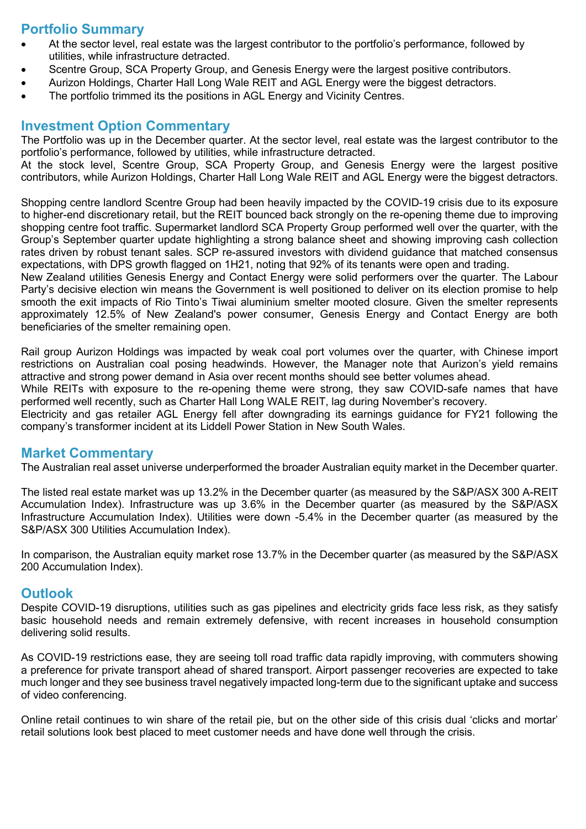## **Portfolio Summary**

- At the sector level, real estate was the largest contributor to the portfolio's performance, followed by utilities, while infrastructure detracted.
- Scentre Group, SCA Property Group, and Genesis Energy were the largest positive contributors.
- Aurizon Holdings, Charter Hall Long Wale REIT and AGL Energy were the biggest detractors.
- The portfolio trimmed its the positions in AGL Energy and Vicinity Centres.

#### **Investment Option Commentary**

The Portfolio was up in the December quarter. At the sector level, real estate was the largest contributor to the portfolio's performance, followed by utilities, while infrastructure detracted.

At the stock level, Scentre Group, SCA Property Group, and Genesis Energy were the largest positive contributors, while Aurizon Holdings, Charter Hall Long Wale REIT and AGL Energy were the biggest detractors.

Shopping centre landlord Scentre Group had been heavily impacted by the COVID-19 crisis due to its exposure to higher-end discretionary retail, but the REIT bounced back strongly on the re-opening theme due to improving shopping centre foot traffic. Supermarket landlord SCA Property Group performed well over the quarter, with the Group's September quarter update highlighting a strong balance sheet and showing improving cash collection rates driven by robust tenant sales. SCP re-assured investors with dividend guidance that matched consensus expectations, with DPS growth flagged on 1H21, noting that 92% of its tenants were open and trading.

New Zealand utilities Genesis Energy and Contact Energy were solid performers over the quarter. The Labour Party's decisive election win means the Government is well positioned to deliver on its election promise to help smooth the exit impacts of Rio Tinto's Tiwai aluminium smelter mooted closure. Given the smelter represents approximately 12.5% of New Zealand's power consumer, Genesis Energy and Contact Energy are both beneficiaries of the smelter remaining open.

Rail group Aurizon Holdings was impacted by weak coal port volumes over the quarter, with Chinese import restrictions on Australian coal posing headwinds. However, the Manager note that Aurizon's yield remains attractive and strong power demand in Asia over recent months should see better volumes ahead.

While REITs with exposure to the re-opening theme were strong, they saw COVID-safe names that have performed well recently, such as Charter Hall Long WALE REIT, lag during November's recovery.

Electricity and gas retailer AGL Energy fell after downgrading its earnings guidance for FY21 following the company's transformer incident at its Liddell Power Station in New South Wales.

#### **Market Commentary**

The Australian real asset universe underperformed the broader Australian equity market in the December quarter.

The listed real estate market was up 13.2% in the December quarter (as measured by the S&P/ASX 300 A-REIT Accumulation Index). Infrastructure was up 3.6% in the December quarter (as measured by the S&P/ASX Infrastructure Accumulation Index). Utilities were down -5.4% in the December quarter (as measured by the S&P/ASX 300 Utilities Accumulation Index).

In comparison, the Australian equity market rose 13.7% in the December quarter (as measured by the S&P/ASX 200 Accumulation Index).

#### **Outlook**

Despite COVID-19 disruptions, utilities such as gas pipelines and electricity grids face less risk, as they satisfy basic household needs and remain extremely defensive, with recent increases in household consumption delivering solid results.

As COVID-19 restrictions ease, they are seeing toll road traffic data rapidly improving, with commuters showing a preference for private transport ahead of shared transport. Airport passenger recoveries are expected to take much longer and they see business travel negatively impacted long-term due to the significant uptake and success of video conferencing.

Online retail continues to win share of the retail pie, but on the other side of this crisis dual 'clicks and mortar' retail solutions look best placed to meet customer needs and have done well through the crisis.